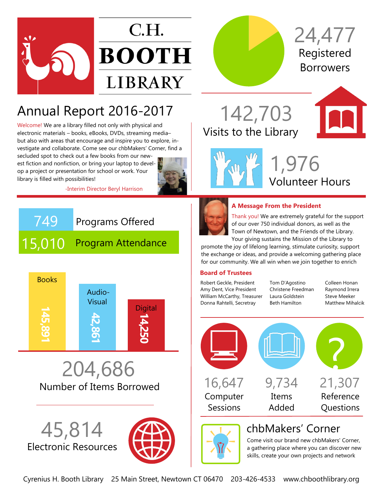



## Annual Report 2016-2017

Welcome! We are a library filled not only with physical and electronic materials – books, eBooks, DVDs, streaming media– but also with areas that encourage and inspire you to explore, investigate and collaborate. Come see our chbMakers' Corner, find a

secluded spot to check out a few books from our newest fiction and nonfiction, or bring your laptop to develop a project or presentation for school or work. Your library is filled with possibilities!



-Interim Director Beryl Harrison

# 749 Programs Offered 15,010 Program Attendance



Number of Items Borrowed 204,686

Electronic Resources 45,814



Registered Borrowers 24,477

Visits to the Library 142,703



Volunteer Hours 1,976



#### **A Message From the President**

Thank you! We are extremely grateful for the support of our over 750 individual donors, as well as the Town of Newtown, and the Friends of the Library. Your giving sustains the Mission of the Library to

promote the joy of lifelong learning, stimulate curiosity, support the exchange or ideas, and provide a welcoming gathering place for our community. We all win when we join together to enrich

#### **Board of Trustees**

Robert Geckle, President Amy Dent, Vice President William McCarthy, Treasurer Donna Rahtelli, Secretray

Tom D'Agostino Christene Freedman Laura Goldstein Beth Hamilton

Colleen Honan Raymond Irrera Steve Meeker Matthew Mihalcik



### chbMakers' Corner

Come visit our brand new chbMakers' Corner, a gathering place where you can discover new skills, create your own projects and network